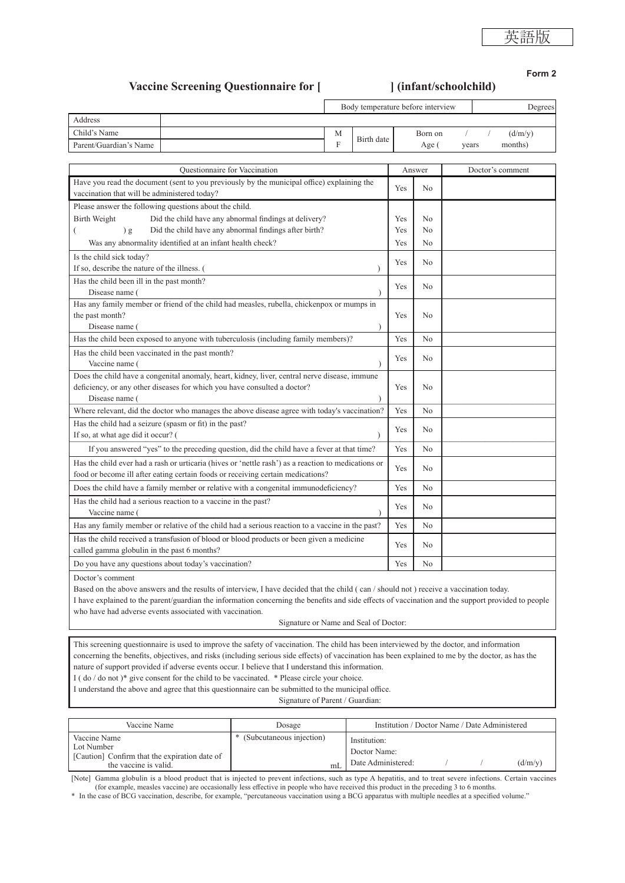# **Vaccine Screening Questionnaire for [ ] (infant/schoolchild)**

**Form 2**

|                        | Body temperature before interview |            |         | Degrees |  |         |
|------------------------|-----------------------------------|------------|---------|---------|--|---------|
| Address                |                                   |            |         |         |  |         |
| Child's Name           | М                                 | Birth date | Born on |         |  | (d/m/v) |
| Parent/Guardian's Name |                                   |            | Age (   | years   |  | months) |

| Questionnaire for Vaccination                                                                       |     | Answer         | Doctor's comment |
|-----------------------------------------------------------------------------------------------------|-----|----------------|------------------|
| Have you read the document (sent to you previously by the municipal office) explaining the          | Yes | N <sub>0</sub> |                  |
| vaccination that will be administered today?                                                        |     |                |                  |
| Please answer the following questions about the child.                                              |     |                |                  |
| <b>Birth Weight</b><br>Did the child have any abnormal findings at delivery?                        | Yes | N <sub>0</sub> |                  |
| Did the child have any abnormal findings after birth?<br>) g<br>(                                   | Yes | N <sub>0</sub> |                  |
| Was any abnormality identified at an infant health check?                                           | Yes | N <sub>0</sub> |                  |
| Is the child sick today?                                                                            |     |                |                  |
| If so, describe the nature of the illness. (                                                        | Yes | No             |                  |
| Has the child been ill in the past month?                                                           | Yes | No             |                  |
| Disease name (                                                                                      |     |                |                  |
| Has any family member or friend of the child had measles, rubella, chickenpox or mumps in           |     |                |                  |
| the past month?                                                                                     | Yes | $\rm N_{0}$    |                  |
| Disease name (                                                                                      |     |                |                  |
| Has the child been exposed to anyone with tuberculosis (including family members)?                  | Yes | N <sub>0</sub> |                  |
| Has the child been vaccinated in the past month?                                                    | Yes | N <sub>0</sub> |                  |
| Vaccine name (                                                                                      |     |                |                  |
| Does the child have a congenital anomaly, heart, kidney, liver, central nerve disease, immune       |     |                |                  |
| deficiency, or any other diseases for which you have consulted a doctor?                            | Yes | No             |                  |
| Disease name (                                                                                      |     |                |                  |
| Where relevant, did the doctor who manages the above disease agree with today's vaccination?        | Yes | N <sub>o</sub> |                  |
| Has the child had a seizure (spasm or fit) in the past?                                             |     | N <sub>0</sub> |                  |
| If so, at what age did it occur? (                                                                  | Yes |                |                  |
| If you answered "yes" to the preceding question, did the child have a fever at that time?           | Yes | N <sub>o</sub> |                  |
| Has the child ever had a rash or urticaria (hives or 'nettle rash') as a reaction to medications or |     |                |                  |
| food or become ill after eating certain foods or receiving certain medications?                     | Yes | N <sub>0</sub> |                  |
| Does the child have a family member or relative with a congenital immunodeficiency?                 | Yes | N <sub>0</sub> |                  |
| Has the child had a serious reaction to a vaccine in the past?                                      | Yes | N <sub>o</sub> |                  |
| Vaccine name (                                                                                      |     |                |                  |
| Has any family member or relative of the child had a serious reaction to a vaccine in the past?     | Yes | N <sub>o</sub> |                  |
| Has the child received a transfusion of blood or blood products or been given a medicine            | Yes | N <sub>0</sub> |                  |
| called gamma globulin in the past 6 months?                                                         |     |                |                  |
| Do you have any questions about today's vaccination?                                                | Yes | No             |                  |

Doctor's comment

Based on the above answers and the results of interview, I have decided that the child ( can / should not ) receive a vaccination today. I have explained to the parent/guardian the information concerning the benefits and side effects of vaccination and the support provided to people who have had adverse events associated with vaccination.

Signature or Name and Seal of Doctor:

This screening questionnaire is used to improve the safety of vaccination. The child has been interviewed by the doctor, and information concerning the benefits, objectives, and risks (including serious side effects) of vaccination has been explained to me by the doctor, as has the nature of support provided if adverse events occur. I believe that I understand this information.

I ( do / do not )\* give consent for the child to be vaccinated. \* Please circle your choice.

I understand the above and agree that this questionnaire can be submitted to the municipal office.

Signature of Parent / Guardian:

| Vaccine Name                                                                                         | Dosage                            | Institution / Doctor Name / Date Administered      |  |  |         |
|------------------------------------------------------------------------------------------------------|-----------------------------------|----------------------------------------------------|--|--|---------|
| Vaccine Name<br>Lot Number<br>[Caution] Confirm that the expiration date of<br>the vaccine is valid. | * (Subcutaneous injection)<br>ml. | Institution:<br>Doctor Name:<br>Date Administered: |  |  | (d/m/v) |

[Note] Gamma globulin is a blood product that is injected to prevent infections, such as type A hepatitis, and to treat severe infections. Certain vaccines (for example, measles vaccine) are occasionally less effective in people who have received this product in the preceding 3 to 6 months.

\* In the case of BCG vaccination, describe, for example, "percutaneous vaccination using a BCG apparatus with multiple needles at a specified volume."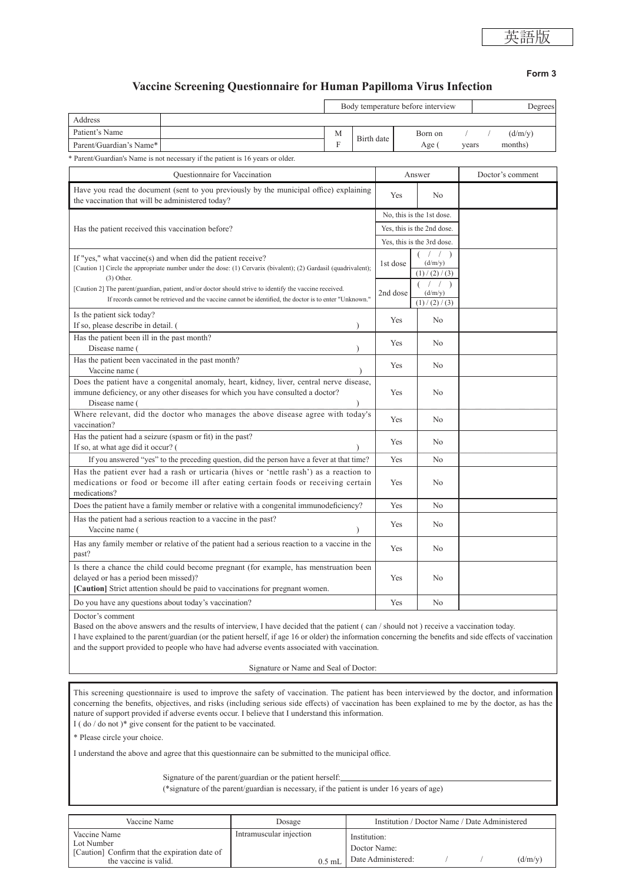**Form 3**

# **Vaccine Screening Questionnaire for Human Papilloma Virus Infection**

Questionnaire for Vaccination and Answer Doctor's comment Have you read the document (sent to you previously by the municipal office) explaining The vaccination that will be administered today?<br>
No the vaccination that will be administered today? Has the patient received this vaccination before? No, this is the 1st dose. Yes, this is the 2nd dose. Yes, this is the 3rd dose. If "yes," what vaccine(s) and when did the patient receive? [Caution 1] Circle the appropriate number under the dose: (1) Cervarix (bivalent); (2) Gardasil (quadrivalent);  $(3)$  Other [Caution 2] The parent/guardian, patient, and/or doctor should strive to identify the vaccine received. If records cannot be retrieved and the vaccine cannot be identified, the doctor is to enter "Unknown." 1st dose  $\overline{\phantom{a}}$  / )  $(d/m/y)$  $(1) / (2) / (3)$ 2nd dose  $($   $/$   $)$  $(d/m/v)$  $(1) / (2) / (3)$ Is the patient sick today? If so, please describe in detail.  $\begin{array}{ccc} \text{If so, please describe in detail.} \end{array}$ Has the patient been ill in the past month? Disease name (Second In the past month).<br>Disease name (Second In the past month) and  $\gamma$  No. (No. 2014) Has the patient been vaccinated in the past month? Vaccine name (
Ves Robert No. 1993) Does the patient have a congenital anomaly, heart, kidney, liver, central nerve disease, immune deficiency, or any other diseases for which you have consulted a doctor? Disease name ( ) Yes  $\log N_0$ Where relevant, did the doctor who manages the above disease agree with today's <br>vaccination? Yes No Has the patient had a seizure (spasm or fit) in the past? First so, at what age did it occur? (Spasm or iii) in the past?<br>If so, at what age did it occur? (Spasm or iii)  $Y$ es No If you answered "yes" to the preceding question, did the person have a fever at that time? Yes No Has the patient ever had a rash or urticaria (hives or 'nettle rash') as a reaction to medications or food or become ill after eating certain foods or receiving certain medications? Yes | No Does the patient have a family member or relative with a congenital immunodeficiency? Yes No Has the patient had a serious reaction to a vaccine in the past?<br>
Vaccine name (
No Has any family member or relative of the patient had a serious reaction to a vaccine in the Yes No Is there a chance the child could become pregnant (for example, has menstruation been delayed or has a period been missed)? **[Caution]** Strict attention should be paid to vaccinations for pregnant women. Yes | No Do you have any questions about today's vaccination? Yes No Doctor's comment Based on the above answers and the results of interview, I have decided that the patient ( can / should not ) receive a vaccination today. Body temperature before interview Degrees Address Patient's Name Matter and Matter and Matter and Matter and Matter and Matter and Matter and Matter and Matter and Matter and Matter and Matter and Matter and Matter and Matter and Matter and Matter and Matter and Matter an F Birth date Born on  $/$   $/$   $(d/m/y)$ <br>Age (years months) Parent/Guardian's Name\* Parent/Guardian's Name is not necessary if the patient is 16 years or older.

I have explained to the parent/guardian (or the patient herself, if age 16 or older) the information concerning the benefits and side effects of vaccination and the support provided to people who have had adverse events associated with vaccination.

Signature or Name and Seal of Doctor:

This screening questionnaire is used to improve the safety of vaccination. The patient has been interviewed by the doctor, and information concerning the benefits, objectives, and risks (including serious side effects) of vaccination has been explained to me by the doctor, as has the nature of support provided if adverse events occur. I believe that I understand this information. I ( do / do not )\* give consent for the patient to be vaccinated.

\* Please circle your choice.

I understand the above and agree that this questionnaire can be submitted to the municipal office.

Signature of the parent/guardian or the patient herself:

(\*signature of the parent/guardian is necessary, if the patient is under 16 years of age)

| Vaccine Name                                                                                         | Dosage                  |          | Institution / Doctor Name / Date Administered      |  |  |         |
|------------------------------------------------------------------------------------------------------|-------------------------|----------|----------------------------------------------------|--|--|---------|
| Vaccine Name<br>Lot Number<br>[Caution] Confirm that the expiration date of<br>the vaccine is valid. | Intramuscular injection | $0.5$ mL | Institution:<br>Doctor Name:<br>Date Administered: |  |  | (d/m/y) |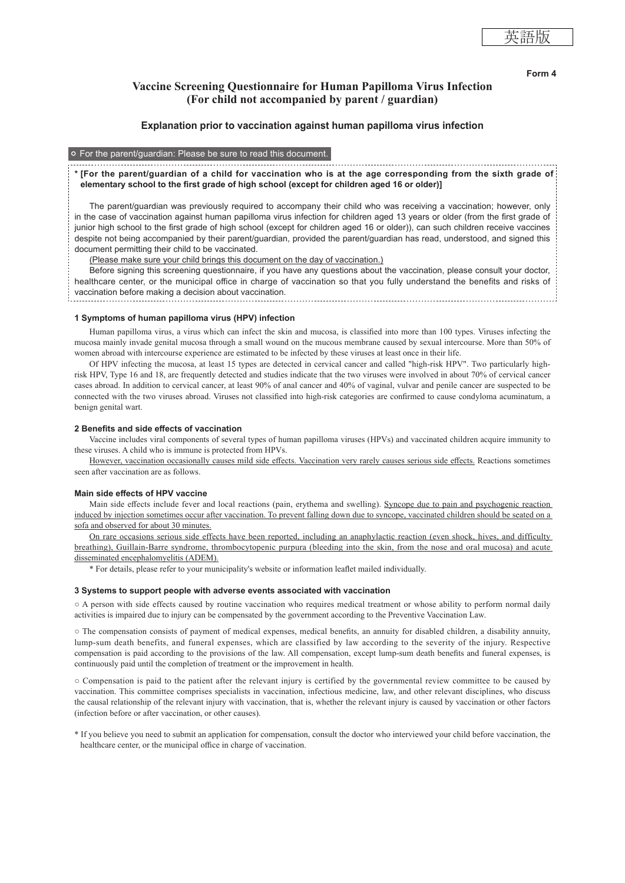## **Form 4**

# **Vaccine Screening Questionnaire for Human Papilloma Virus Infection (For child not accompanied by parent / guardian)**

### **Explanation prior to vaccination against human papilloma virus infection**

## For the parent/guardian: Please be sure to read this document.

## **\* [For the parent/guardian of a child for vaccination who is at the age corresponding from the sixth grade of elementary school to the first grade of high school (except for children aged 16 or older)]**

The parent/guardian was previously required to accompany their child who was receiving a vaccination; however, only in the case of vaccination against human papilloma virus infection for children aged 13 years or older (from the first grade of junior high school to the first grade of high school (except for children aged 16 or older)), can such children receive vaccines despite not being accompanied by their parent/guardian, provided the parent/guardian has read, understood, and signed this document permitting their child to be vaccinated.

(Please make sure your child brings this document on the day of vaccination.)

Before signing this screening questionnaire, if you have any questions about the vaccination, please consult your doctor, healthcare center, or the municipal office in charge of vaccination so that you fully understand the benefits and risks of vaccination before making a decision about vaccination. 

#### **1 Symptoms of human papilloma virus (HPV) infection**

Human papilloma virus, a virus which can infect the skin and mucosa, is classified into more than 100 types. Viruses infecting the mucosa mainly invade genital mucosa through a small wound on the mucous membrane caused by sexual intercourse. More than 50% of women abroad with intercourse experience are estimated to be infected by these viruses at least once in their life.

Of HPV infecting the mucosa, at least 15 types are detected in cervical cancer and called "high-risk HPV". Two particularly highrisk HPV, Type 16 and 18, are frequently detected and studies indicate that the two viruses were involved in about 70% of cervical cancer cases abroad. In addition to cervical cancer, at least 90% of anal cancer and 40% of vaginal, vulvar and penile cancer are suspected to be connected with the two viruses abroad. Viruses not classified into high-risk categories are confirmed to cause condyloma acuminatum, a benign genital wart.

#### **2 Benefits and side effects of vaccination**

Vaccine includes viral components of several types of human papilloma viruses (HPVs) and vaccinated children acquire immunity to these viruses. A child who is immune is protected from HPVs.

However, vaccination occasionally causes mild side effects. Vaccination very rarely causes serious side effects. Reactions sometimes seen after vaccination are as follows.

#### **Main side effects of HPV vaccine**

Main side effects include fever and local reactions (pain, erythema and swelling). Syncope due to pain and psychogenic reaction induced by injection sometimes occur after vaccination. To prevent falling down due to syncope, vaccinated children should be seated on a sofa and observed for about 30 minutes.

On rare occasions serious side effects have been reported, including an anaphylactic reaction (even shock, hives, and difficulty breathing), Guillain-Barre syndrome, thrombocytopenic purpura (bleeding into the skin, from the nose and oral mucosa) and acute disseminated encephalomyelitis (ADEM).

\* For details, please refer to your municipality's website or information leaflet mailed individually.

#### **3 Systems to support people with adverse events associated with vaccination**

○ A person with side effects caused by routine vaccination who requires medical treatment or whose ability to perform normal daily activities is impaired due to injury can be compensated by the government according to the Preventive Vaccination Law.

○ The compensation consists of payment of medical expenses, medical benefits, an annuity for disabled children, a disability annuity, lump-sum death benefits, and funeral expenses, which are classified by law according to the severity of the injury. Respective compensation is paid according to the provisions of the law. All compensation, except lump-sum death benefits and funeral expenses, is continuously paid until the completion of treatment or the improvement in health.

○ Compensation is paid to the patient after the relevant injury is certified by the governmental review committee to be caused by vaccination. This committee comprises specialists in vaccination, infectious medicine, law, and other relevant disciplines, who discuss the causal relationship of the relevant injury with vaccination, that is, whether the relevant injury is caused by vaccination or other factors (infection before or after vaccination, or other causes).

\* If you believe you need to submit an application for compensation, consult the doctor who interviewed your child before vaccination, the healthcare center, or the municipal office in charge of vaccination.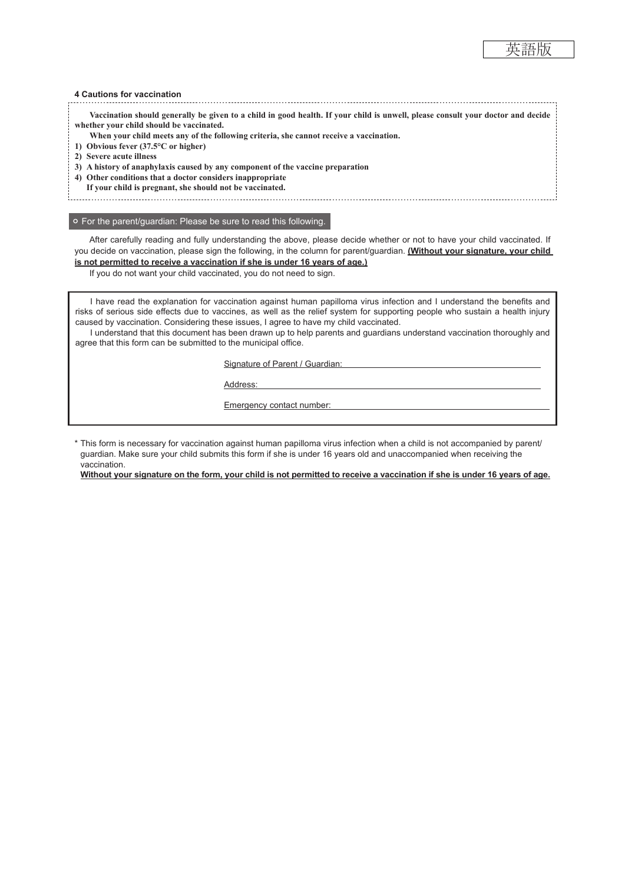#### **4 Cautions for vaccination**

**Vaccination should generally be given to a child in good health. If your child is unwell, please consult your doctor and decide whether your child should be vaccinated.**

**When your child meets any of the following criteria, she cannot receive a vaccination.**

- **1) Obvious fever (37.5°C or higher)**
- **2) Severe acute illness**
- **3) A history of anaphylaxis caused by any component of the vaccine preparation**
- **4) Other conditions that a doctor considers inappropriate**
	- **If your child is pregnant, she should not be vaccinated.**

## For the parent/guardian: Please be sure to read this following.

After carefully reading and fully understanding the above, please decide whether or not to have your child vaccinated. If you decide on vaccination, please sign the following, in the column for parent/guardian. **(Without your signature, your child is not permitted to receive a vaccination if she is under 16 years of age.)**

If you do not want your child vaccinated, you do not need to sign.

I have read the explanation for vaccination against human papilloma virus infection and I understand the benefits and risks of serious side effects due to vaccines, as well as the relief system for supporting people who sustain a health injury caused by vaccination. Considering these issues, I agree to have my child vaccinated.

I understand that this document has been drawn up to help parents and guardians understand vaccination thoroughly and agree that this form can be submitted to the municipal office.

Signature of Parent / Guardian:

Address:

Emergency contact number:

\* This form is necessary for vaccination against human papilloma virus infection when a child is not accompanied by parent/ guardian. Make sure your child submits this form if she is under 16 years old and unaccompanied when receiving the vaccination.

**Without your signature on the form, your child is not permitted to receive a vaccination if she is under 16 years of age.**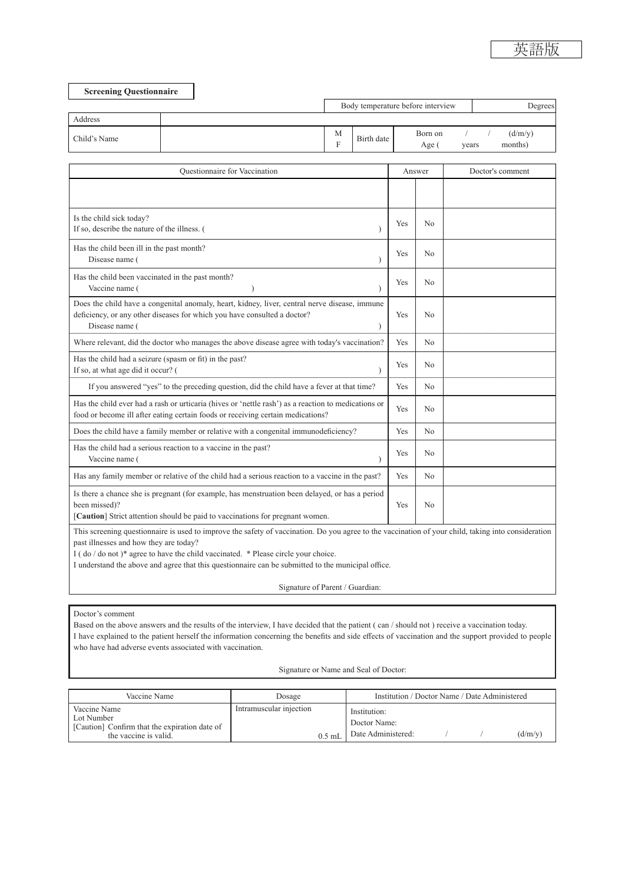| <b>Screening Questionnaire</b> |  |        |                                   |                  |       |                    |
|--------------------------------|--|--------|-----------------------------------|------------------|-------|--------------------|
|                                |  |        | Body temperature before interview | Degrees          |       |                    |
| Address                        |  |        |                                   |                  |       |                    |
| Child's Name                   |  | M<br>F | Birth date                        | Born on<br>Age ( | vears | (d/m/y)<br>months) |
|                                |  |        |                                   |                  |       |                    |

| Is the child sick today?<br>If so, describe the nature of the illness. (<br>Has the child been ill in the past month?<br>Disease name (                                                          | Yes<br>Yes | N <sub>0</sub> |  |
|--------------------------------------------------------------------------------------------------------------------------------------------------------------------------------------------------|------------|----------------|--|
|                                                                                                                                                                                                  |            |                |  |
|                                                                                                                                                                                                  |            |                |  |
|                                                                                                                                                                                                  |            | N <sub>0</sub> |  |
| Has the child been vaccinated in the past month?<br>Vaccine name (                                                                                                                               | Yes        | N <sub>0</sub> |  |
| Does the child have a congenital anomaly, heart, kidney, liver, central nerve disease, immune<br>deficiency, or any other diseases for which you have consulted a doctor?<br>Disease name (      | Yes        | N <sub>0</sub> |  |
| Where relevant, did the doctor who manages the above disease agree with today's vaccination?                                                                                                     | <b>Yes</b> | No.            |  |
| Has the child had a seizure (spasm or fit) in the past?<br>If so, at what age did it occur? (                                                                                                    | <b>Yes</b> | N <sub>0</sub> |  |
| If you answered "yes" to the preceding question, did the child have a fever at that time?                                                                                                        | Yes        | N <sub>0</sub> |  |
| Has the child ever had a rash or urticaria (hives or 'nettle rash') as a reaction to medications or<br>food or become ill after eating certain foods or receiving certain medications?           | <b>Yes</b> | N <sub>0</sub> |  |
| Does the child have a family member or relative with a congenital immunodeficiency?                                                                                                              | <b>Yes</b> | N <sub>0</sub> |  |
| Has the child had a serious reaction to a vaccine in the past?<br>Vaccine name (                                                                                                                 | <b>Yes</b> | No.            |  |
| Has any family member or relative of the child had a serious reaction to a vaccine in the past?                                                                                                  | Yes        | N <sub>0</sub> |  |
| Is there a chance she is pregnant (for example, has menstruation been delayed, or has a period<br>been missed)?<br>[Caution] Strict attention should be paid to vaccinations for pregnant women. | Yes        | N <sub>0</sub> |  |

This screening questionnaire is used to improve the safety of vaccination. Do you agree to the vaccination of your child, taking into consideration past illnesses and how they are today?

I ( do / do not )\* agree to have the child vaccinated. \* Please circle your choice.

I understand the above and agree that this questionnaire can be submitted to the municipal office.

Signature of Parent / Guardian:

## Doctor's comment

Based on the above answers and the results of the interview, I have decided that the patient (can / should not ) receive a vaccination today. I have explained to the patient herself the information concerning the benefits and side effects of vaccination and the support provided to people who have had adverse events associated with vaccination.

Signature or Name and Seal of Doctor:

| Vaccine Name                                                                                         | Dosage                  |          | Institution / Doctor Name / Date Administered                   |  |  |         |
|------------------------------------------------------------------------------------------------------|-------------------------|----------|-----------------------------------------------------------------|--|--|---------|
| Vaccine Name<br>Lot Number<br>[Caution] Confirm that the expiration date of<br>the vaccine is valid. | Intramuscular injection | $0.5$ mL | Institution:<br>Doctor Name:<br><sup>1</sup> Date Administered: |  |  | (d/m/v) |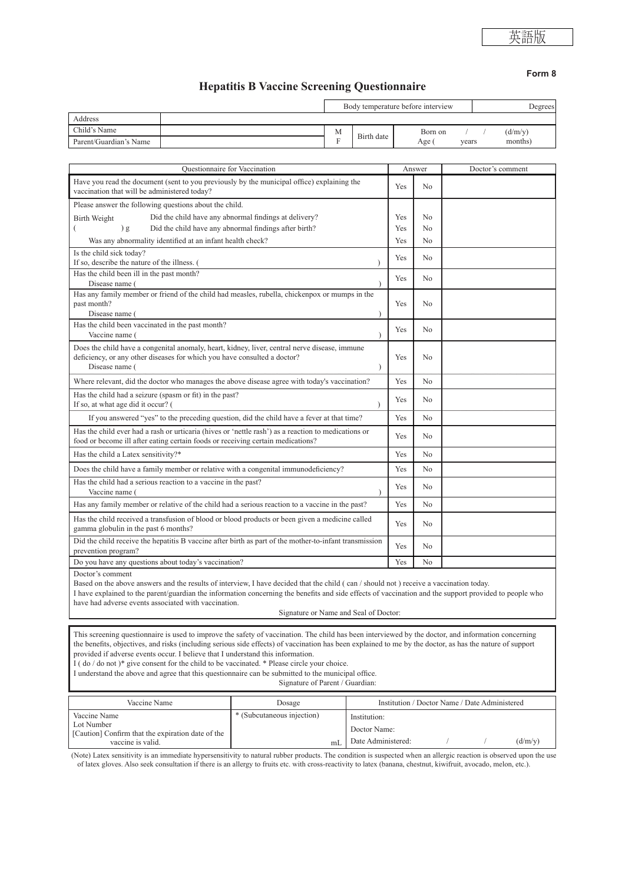# **Hepatitis B Vaccine Screening Questionnaire**

|                        | Body temperature before interview |            |                | Degrees |         |  |
|------------------------|-----------------------------------|------------|----------------|---------|---------|--|
| Address                |                                   |            |                |         |         |  |
| Child's Name           | М                                 |            | Born on        |         | (d/m/v) |  |
| Parent/Guardian's Name |                                   | Birth date | Age (<br>vears |         | months) |  |

| <b>Ouestionnaire</b> for Vaccination                                                                                                                                                                     |     | Answer         | Doctor's comment |
|----------------------------------------------------------------------------------------------------------------------------------------------------------------------------------------------------------|-----|----------------|------------------|
| Have you read the document (sent to you previously by the municipal office) explaining the<br>vaccination that will be administered today?                                                               | Yes | No.            |                  |
| Please answer the following questions about the child.                                                                                                                                                   |     |                |                  |
| Did the child have any abnormal findings at delivery?<br>Birth Weight                                                                                                                                    | Yes | No             |                  |
| ) g<br>Did the child have any abnormal findings after birth?<br>€                                                                                                                                        | Yes | No             |                  |
| Was any abnormality identified at an infant health check?                                                                                                                                                | Yes | No             |                  |
| Is the child sick today?<br>If so, describe the nature of the illness.                                                                                                                                   | Yes | No             |                  |
| Has the child been ill in the past month?<br>Disease name (                                                                                                                                              | Yes | N <sub>0</sub> |                  |
| Has any family member or friend of the child had measles, rubella, chickenpox or mumps in the<br>past month?<br>Disease name (                                                                           | Yes | N <sub>0</sub> |                  |
| Has the child been vaccinated in the past month?<br>Vaccine name (                                                                                                                                       | Yes | No             |                  |
| Does the child have a congenital anomaly, heart, kidney, liver, central nerve disease, immune<br>deficiency, or any other diseases for which you have consulted a doctor?<br>Disease name (<br>$\lambda$ | Yes | No             |                  |
| Where relevant, did the doctor who manages the above disease agree with today's vaccination?                                                                                                             | Yes | N <sub>0</sub> |                  |
| Has the child had a seizure (spasm or fit) in the past?<br>If so, at what age did it occur? (                                                                                                            | Yes | N <sub>0</sub> |                  |
| If you answered "yes" to the preceding question, did the child have a fever at that time?                                                                                                                | Yes | N <sub>0</sub> |                  |
| Has the child ever had a rash or urticaria (hives or 'nettle rash') as a reaction to medications or<br>food or become ill after eating certain foods or receiving certain medications?                   | Yes | N <sub>0</sub> |                  |
| Has the child a Latex sensitivity?*                                                                                                                                                                      | Yes | No             |                  |
| Does the child have a family member or relative with a congenital immunodeficiency?                                                                                                                      | Yes | No.            |                  |
| Has the child had a serious reaction to a vaccine in the past?<br>Vaccine name (                                                                                                                         | Yes | No             |                  |
| Has any family member or relative of the child had a serious reaction to a vaccine in the past?                                                                                                          | Yes | N <sub>0</sub> |                  |
| Has the child received a transfusion of blood or blood products or been given a medicine called<br>gamma globulin in the past 6 months?                                                                  | Yes | N <sub>0</sub> |                  |
| Did the child receive the hepatitis B vaccine after birth as part of the mother-to-infant transmission<br>prevention program?                                                                            | Yes | N <sub>0</sub> |                  |
| Do you have any questions about today's vaccination?<br>$D_0$ at an $\sim$ and $\sim$                                                                                                                    | Yes | N <sub>0</sub> |                  |

Doctor's comment

Based on the above answers and the results of interview, I have decided that the child (can / should not) receive a vaccination today.

I have explained to the parent/guardian the information concerning the benefits and side effects of vaccination and the support provided to people who have had adverse events associated with vaccination.

Signature or Name and Seal of Doctor:

This screening questionnaire is used to improve the safety of vaccination. The child has been interviewed by the doctor, and information concerning the benefits, objectives, and risks (including serious side effects) of vaccination has been explained to me by the doctor, as has the nature of support provided if adverse events occur. I believe that I understand this information.

 $\overrightarrow{I}$  ( do / do not )\* give consent for the child to be vaccinated. \* Please circle your choice.

I understand the above and agree that this questionnaire can be submitted to the municipal office.

Signature of Parent / Guardian:

| Vaccine Name                                                                                         | Dosage                     |     | Institution / Doctor Name / Date Administered      |  |  |         |
|------------------------------------------------------------------------------------------------------|----------------------------|-----|----------------------------------------------------|--|--|---------|
| Vaccine Name<br>Lot Number<br>[Caution] Confirm that the expiration date of the<br>vaccine is valid. | * (Subcutaneous injection) | ml. | Institution:<br>Doctor Name:<br>Date Administered: |  |  | (d/m/v) |

(Note) Latex sensitivity is an immediate hypersensitivity to natural rubber products. The condition is suspected when an allergic reaction is observed upon the use of latex gloves. Also seek consultation if there is an allergy to fruits etc. with cross-reactivity to latex (banana, chestnut, kiwifruit, avocado, melon, etc.).

## **Form 8**